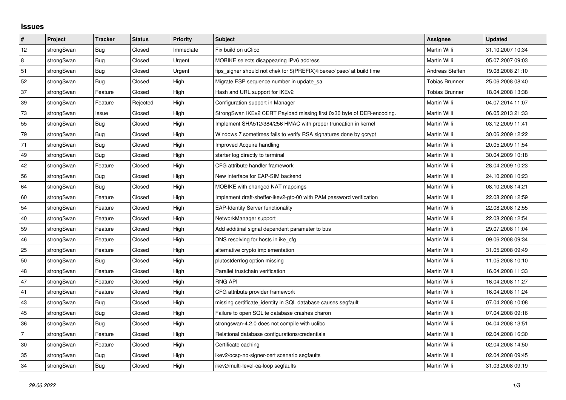## **Issues**

| #  | Project    | <b>Tracker</b> | <b>Status</b> | <b>Priority</b> | <b>Subject</b>                                                          | <b>Assignee</b>       | <b>Updated</b>   |
|----|------------|----------------|---------------|-----------------|-------------------------------------------------------------------------|-----------------------|------------------|
| 12 | strongSwan | Bug            | Closed        | Immediate       | Fix build on uClibc                                                     | Martin Willi          | 31.10.2007 10:34 |
| 8  | strongSwan | Bug            | Closed        | Urgent          | MOBIKE selects disappearing IPv6 address                                | Martin Willi          | 05.07.2007 09:03 |
| 51 | strongSwan | Bug            | Closed        | Urgent          | fips_signer should not chek for \$(PREFIX)/libexec/ipsec/ at build time | Andreas Steffen       | 19.08.2008 21:10 |
| 52 | strongSwan | Bug            | Closed        | High            | Migrate ESP sequence number in update sa                                | <b>Tobias Brunner</b> | 25.06.2008 08:40 |
| 37 | strongSwan | Feature        | Closed        | High            | Hash and URL support for IKEv2                                          | Tobias Brunner        | 18.04.2008 13:38 |
| 39 | strongSwan | Feature        | Rejected      | High            | Configuration support in Manager                                        | Martin Willi          | 04.07.2014 11:07 |
| 73 | strongSwan | Issue          | Closed        | High            | StrongSwan IKEv2 CERT Payload missing first 0x30 byte of DER-encoding.  | Martin Willi          | 06.05.2013 21:33 |
| 55 | strongSwan | <b>Bug</b>     | Closed        | High            | Implement SHA512/384/256 HMAC with proper truncation in kernel          | Martin Willi          | 03.12.2009 11:41 |
| 79 | strongSwan | Bug            | Closed        | High            | Windows 7 sometimes fails to verify RSA signatures done by gcrypt       | Martin Willi          | 30.06.2009 12:22 |
| 71 | strongSwan | Bug            | Closed        | High            | Improved Acquire handling                                               | Martin Willi          | 20.05.2009 11:54 |
| 49 | strongSwan | <b>Bug</b>     | Closed        | High            | starter log directly to terminal                                        | Martin Willi          | 30.04.2009 10:18 |
| 42 | strongSwan | Feature        | Closed        | High            | CFG attribute handler framework                                         | Martin Willi          | 28.04.2009 10:23 |
| 56 | strongSwan | Bug            | Closed        | High            | New interface for EAP-SIM backend                                       | Martin Willi          | 24.10.2008 10:23 |
| 64 | strongSwan | Bug            | Closed        | High            | MOBIKE with changed NAT mappings                                        | Martin Willi          | 08.10.2008 14:21 |
| 60 | strongSwan | Feature        | Closed        | High            | Implement draft-sheffer-ikev2-gtc-00 with PAM password verification     | Martin Willi          | 22.08.2008 12:59 |
| 54 | strongSwan | Feature        | Closed        | High            | <b>EAP-Identity Server functionality</b>                                | Martin Willi          | 22.08.2008 12:55 |
| 40 | strongSwan | Feature        | Closed        | High            | NetworkManager support                                                  | Martin Willi          | 22.08.2008 12:54 |
| 59 | strongSwan | Feature        | Closed        | High            | Add additinal signal dependent parameter to bus                         | Martin Willi          | 29.07.2008 11:04 |
| 46 | strongSwan | Feature        | Closed        | High            | DNS resolving for hosts in ike_cfg                                      | Martin Willi          | 09.06.2008 09:34 |
| 25 | strongSwan | Feature        | Closed        | High            | alternative crypto implementation                                       | Martin Willi          | 31.05.2008 09:49 |
| 50 | strongSwan | Bug            | Closed        | High            | plutostderrlog option missing                                           | Martin Willi          | 11.05.2008 10:10 |
| 48 | strongSwan | Feature        | Closed        | High            | Parallel trustchain verification                                        | Martin Willi          | 16.04.2008 11:33 |
| 47 | strongSwan | Feature        | Closed        | High            | <b>RNG API</b>                                                          | Martin Willi          | 16.04.2008 11:27 |
| 41 | strongSwan | Feature        | Closed        | High            | CFG attribute provider framework                                        | Martin Willi          | 16.04.2008 11:24 |
| 43 | strongSwan | Bug            | Closed        | High            | missing certificate_identity in SQL database causes segfault            | Martin Willi          | 07.04.2008 10:08 |
| 45 | strongSwan | Bug            | Closed        | High            | Failure to open SQLite database crashes charon                          | Martin Willi          | 07.04.2008 09:16 |
| 36 | strongSwan | Bug            | Closed        | High            | strongswan-4.2.0 does not compile with uclibe                           | Martin Willi          | 04.04.2008 13:51 |
| 7  | strongSwan | Feature        | Closed        | High            | Relational database configurations/credentials                          | Martin Willi          | 02.04.2008 16:30 |
| 30 | strongSwan | Feature        | Closed        | High            | Certificate caching                                                     | Martin Willi          | 02.04.2008 14:50 |
| 35 | strongSwan | Bug            | Closed        | High            | ikev2/ocsp-no-signer-cert scenario segfaults                            | Martin Willi          | 02.04.2008 09:45 |
| 34 | strongSwan | Bug            | Closed        | High            | ikev2/multi-level-ca-loop segfaults                                     | Martin Willi          | 31.03.2008 09:19 |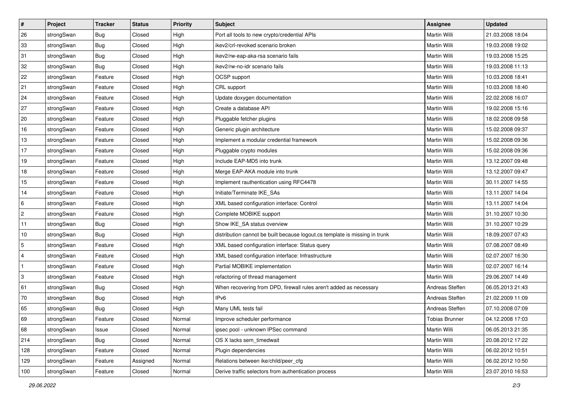| #              | Project    | <b>Tracker</b> | <b>Status</b> | <b>Priority</b> | <b>Subject</b>                                                              | Assignee            | <b>Updated</b>   |
|----------------|------------|----------------|---------------|-----------------|-----------------------------------------------------------------------------|---------------------|------------------|
| 26             | strongSwan | <b>Bug</b>     | Closed        | High            | Port all tools to new crypto/credential APIs                                | Martin Willi        | 21.03.2008 18:04 |
| 33             | strongSwan | Bug            | Closed        | High            | ikev2/crl-revoked scenario broken                                           | Martin Willi        | 19.03.2008 19:02 |
| 31             | strongSwan | Bug            | Closed        | High            | ikev2/rw-eap-aka-rsa scenario fails                                         | Martin Willi        | 19.03.2008 15:25 |
| 32             | strongSwan | Bug            | Closed        | High            | ikev2/rw-no-idr scenario fails                                              | <b>Martin Willi</b> | 19.03.2008 11:13 |
| 22             | strongSwan | Feature        | Closed        | High            | OCSP support                                                                | <b>Martin Willi</b> | 10.03.2008 18:41 |
| 21             | strongSwan | Feature        | Closed        | High            | CRL support                                                                 | Martin Willi        | 10.03.2008 18:40 |
| 24             | strongSwan | Feature        | Closed        | High            | Update doxygen documentation                                                | Martin Willi        | 22.02.2008 16:07 |
| 27             | strongSwan | Feature        | Closed        | High            | Create a database API                                                       | Martin Willi        | 19.02.2008 15:16 |
| 20             | strongSwan | Feature        | Closed        | High            | Pluggable fetcher plugins                                                   | Martin Willi        | 18.02.2008 09:58 |
| 16             | strongSwan | Feature        | Closed        | High            | Generic plugin architecture                                                 | <b>Martin Willi</b> | 15.02.2008 09:37 |
| 13             | strongSwan | Feature        | Closed        | High            | Implement a modular credential framework                                    | Martin Willi        | 15.02.2008 09:36 |
| 17             | strongSwan | Feature        | Closed        | High            | Pluggable crypto modules                                                    | <b>Martin Willi</b> | 15.02.2008 09:36 |
| 19             | strongSwan | Feature        | Closed        | High            | Include EAP-MD5 into trunk                                                  | <b>Martin Willi</b> | 13.12.2007 09:48 |
| 18             | strongSwan | Feature        | Closed        | High            | Merge EAP-AKA module into trunk                                             | Martin Willi        | 13.12.2007 09:47 |
| 15             | strongSwan | Feature        | Closed        | High            | Implement rauthentication using RFC4478                                     | <b>Martin Willi</b> | 30.11.2007 14:55 |
| 14             | strongSwan | Feature        | Closed        | High            | Initiate/Terminate IKE_SAs                                                  | Martin Willi        | 13.11.2007 14:04 |
| 6              | strongSwan | Feature        | Closed        | High            | XML based configuration interface: Control                                  | Martin Willi        | 13.11.2007 14:04 |
| 2              | strongSwan | Feature        | Closed        | High            | Complete MOBIKE support                                                     | Martin Willi        | 31.10.2007 10:30 |
| 11             | strongSwan | <b>Bug</b>     | Closed        | High            | Show IKE_SA status overview                                                 | Martin Willi        | 31.10.2007 10:29 |
| $10$           | strongSwan | <b>Bug</b>     | Closed        | High            | distribution cannot be built because logout.cs template is missing in trunk | Martin Willi        | 18.09.2007 07:43 |
| $\sqrt{5}$     | strongSwan | Feature        | Closed        | High            | XML based configuration interface: Status query                             | Martin Willi        | 07.08.2007 08:49 |
| $\overline{4}$ | strongSwan | Feature        | Closed        | High            | XML based configuration interface: Infrastructure                           | Martin Willi        | 02.07.2007 16:30 |
| $\vert$ 1      | strongSwan | Feature        | Closed        | High            | Partial MOBIKE implementation                                               | Martin Willi        | 02.07.2007 16:14 |
| 3              | strongSwan | Feature        | Closed        | High            | refactoring of thread management                                            | Martin Willi        | 29.06.2007 14:49 |
| 61             | strongSwan | <b>Bug</b>     | Closed        | High            | When recovering from DPD, firewall rules aren't added as necessary          | Andreas Steffen     | 06.05.2013 21:43 |
| 70             | strongSwan | Bug            | Closed        | High            | IPv6                                                                        | Andreas Steffen     | 21.02.2009 11:09 |
| 65             | strongSwan | Bug            | Closed        | High            | Many UML tests fail                                                         | Andreas Steffen     | 07.10.2008 07:09 |
| 69             | strongSwan | Feature        | Closed        | Normal          | Improve scheduler performance                                               | Tobias Brunner      | 04.12.2008 17:03 |
| 68             | strongSwan | Issue          | Closed        | Normal          | ipsec pool - unknown IPSec command                                          | Martin Willi        | 06.05.2013 21:35 |
| 214            | strongSwan | Bug            | Closed        | Normal          | OS X lacks sem_timedwait                                                    | Martin Willi        | 20.08.2012 17:22 |
| 128            | strongSwan | Feature        | Closed        | Normal          | Plugin dependencies                                                         | Martin Willi        | 06.02.2012 10:51 |
| 129            | strongSwan | Feature        | Assigned      | Normal          | Relations between ike/child/peer cfg                                        | Martin Willi        | 06.02.2012 10:50 |
| 100            | strongSwan | Feature        | Closed        | Normal          | Derive traffic selectors from authentication process                        | Martin Willi        | 23.07.2010 16:53 |